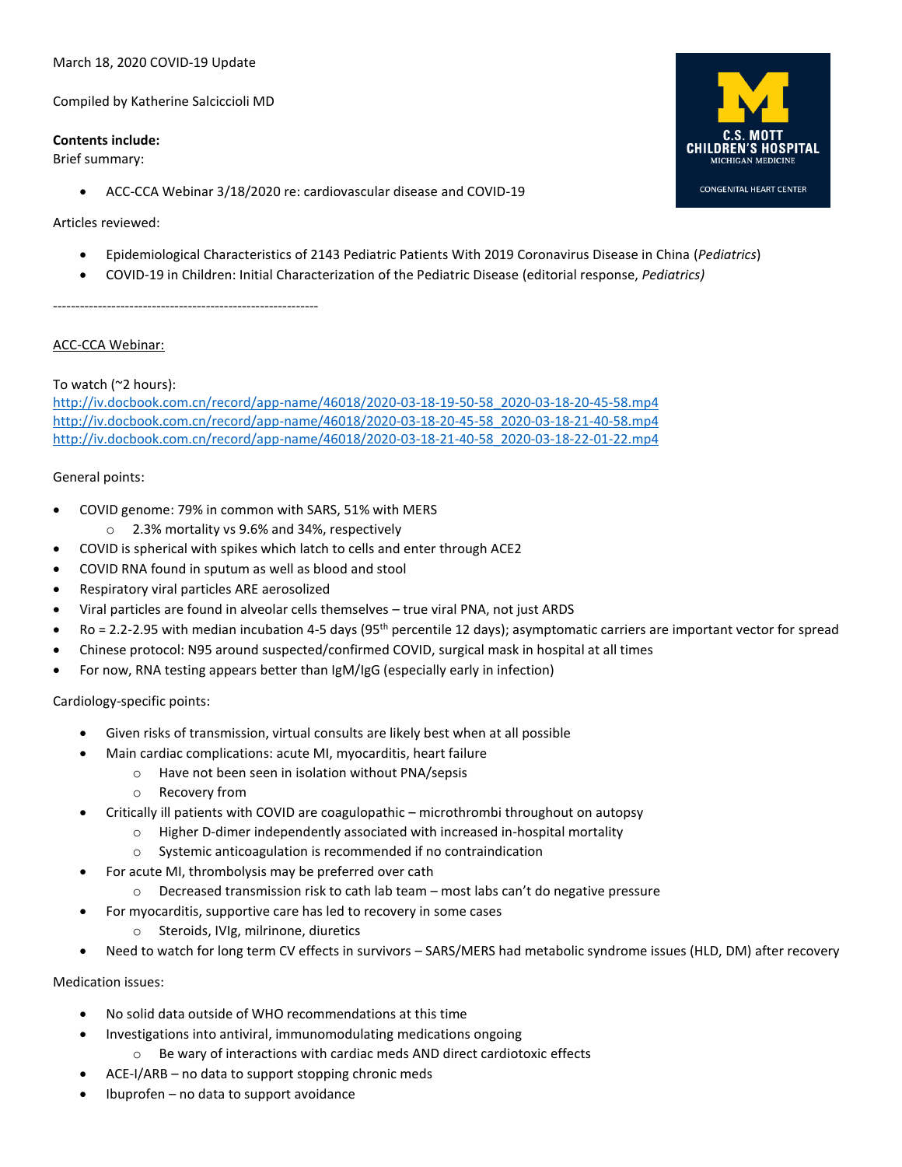#### March 18, 2020 COVID-19 Update

Compiled by Katherine Salciccioli MD

#### **Contents include:**

Brief summary:

• ACC-CCA Webinar 3/18/2020 re: cardiovascular disease and COVID-19

# **CHILDREN S HOSPITAL CONGENITAL HEART CENTER**

#### Articles reviewed:

- Epidemiological Characteristics of 2143 Pediatric Patients With 2019 Coronavirus Disease in China (*Pediatrics*)
- COVID-19 in Children: Initial Characterization of the Pediatric Disease (editorial response, *Pediatrics)*

-----------------------------------------------------------

# ACC-CCA Webinar:

# To watch (~2 hours):

[http://iv.docbook.com.cn/record/app-name/46018/2020-03-18-19-50-58\\_2020-03-18-20-45-58.mp4](http://iv.docbook.com.cn/record/app-name/46018/2020-03-18-19-50-58_2020-03-18-20-45-58.mp4) [http://iv.docbook.com.cn/record/app-name/46018/2020-03-18-20-45-58\\_2020-03-18-21-40-58.mp4](http://iv.docbook.com.cn/record/app-name/46018/2020-03-18-20-45-58_2020-03-18-21-40-58.mp4) [http://iv.docbook.com.cn/record/app-name/46018/2020-03-18-21-40-58\\_2020-03-18-22-01-22.mp4](http://iv.docbook.com.cn/record/app-name/46018/2020-03-18-21-40-58_2020-03-18-22-01-22.mp4)

## General points:

- COVID genome: 79% in common with SARS, 51% with MERS
	- o 2.3% mortality vs 9.6% and 34%, respectively
- COVID is spherical with spikes which latch to cells and enter through ACE2
- COVID RNA found in sputum as well as blood and stool
- Respiratory viral particles ARE aerosolized
- Viral particles are found in alveolar cells themselves true viral PNA, not just ARDS
- $Ro = 2.2$ -2.95 with median incubation 4-5 days (95<sup>th</sup> percentile 12 days); asymptomatic carriers are important vector for spread
- Chinese protocol: N95 around suspected/confirmed COVID, surgical mask in hospital at all times
- For now, RNA testing appears better than IgM/IgG (especially early in infection)

## Cardiology-specific points:

- Given risks of transmission, virtual consults are likely best when at all possible
	- Main cardiac complications: acute MI, myocarditis, heart failure
		- o Have not been seen in isolation without PNA/sepsis
		- o Recovery from
- Critically ill patients with COVID are coagulopathic microthrombi throughout on autopsy
	- $\circ$  Higher D-dimer independently associated with increased in-hospital mortality
	- o Systemic anticoagulation is recommended if no contraindication
- For acute MI, thrombolysis may be preferred over cath
	- o Decreased transmission risk to cath lab team most labs can't do negative pressure
- For myocarditis, supportive care has led to recovery in some cases
	- o Steroids, IVIg, milrinone, diuretics
- Need to watch for long term CV effects in survivors SARS/MERS had metabolic syndrome issues (HLD, DM) after recovery

## Medication issues:

- No solid data outside of WHO recommendations at this time
- Investigations into antiviral, immunomodulating medications ongoing
	- Be wary of interactions with cardiac meds AND direct cardiotoxic effects
- ACE-I/ARB no data to support stopping chronic meds
- Ibuprofen no data to support avoidance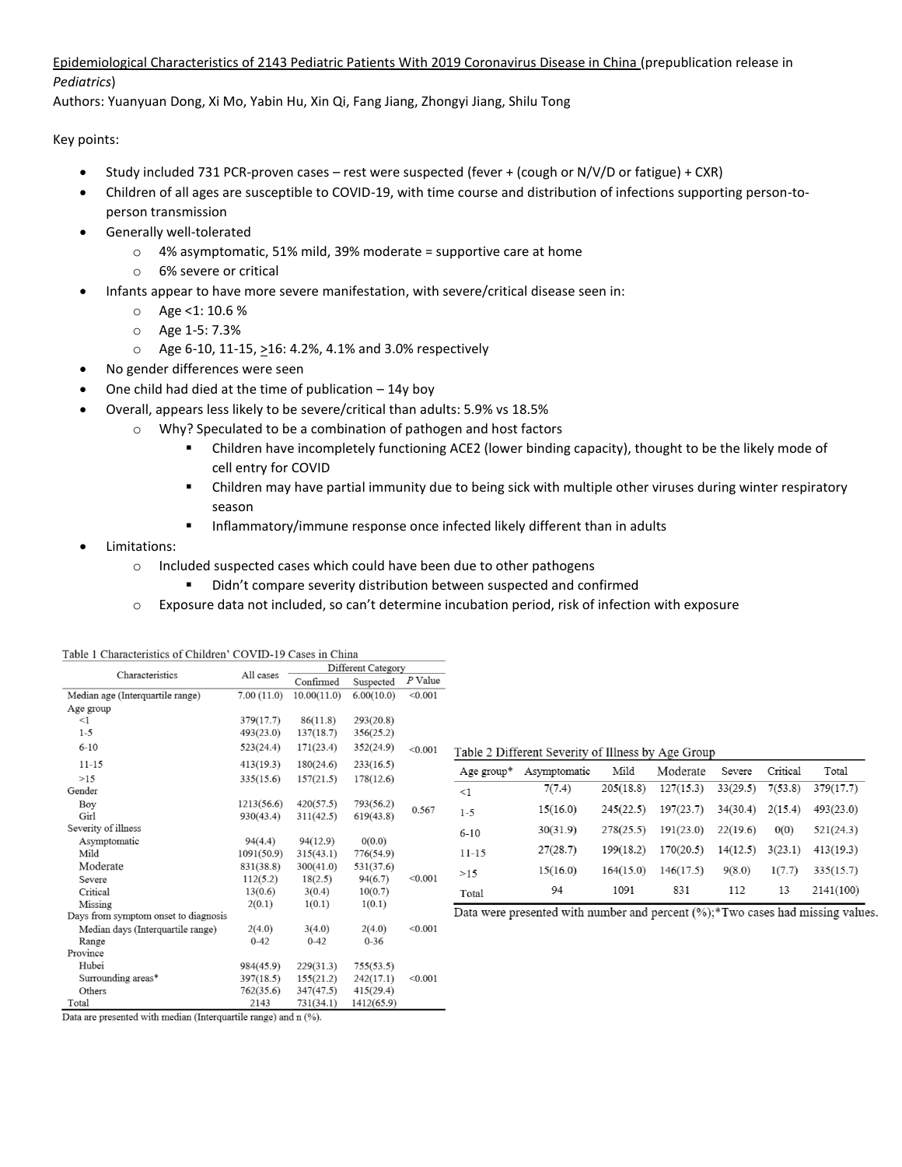# Epidemiological Characteristics of 2143 Pediatric Patients With 2019 Coronavirus Disease in China (prepublication release in *Pediatrics*)

Authors: Yuanyuan Dong, Xi Mo, Yabin Hu, Xin Qi, Fang Jiang, Zhongyi Jiang, Shilu Tong

Key points:

- Study included 731 PCR-proven cases rest were suspected (fever + (cough or N/V/D or fatigue) + CXR)
- Children of all ages are susceptible to COVID-19, with time course and distribution of infections supporting person-toperson transmission
- Generally well-tolerated
	- o 4% asymptomatic, 51% mild, 39% moderate = supportive care at home
	- o 6% severe or critical
- Infants appear to have more severe manifestation, with severe/critical disease seen in:
	- o Age <1: 10.6 %
	- o Age 1-5: 7.3%
	- o Age 6-10, 11-15, >16: 4.2%, 4.1% and 3.0% respectively
- No gender differences were seen
- One child had died at the time of publication  $-14y$  boy
- Overall, appears less likely to be severe/critical than adults: 5.9% vs 18.5%
	- o Why? Speculated to be a combination of pathogen and host factors
		- Children have incompletely functioning ACE2 (lower binding capacity), thought to be the likely mode of cell entry for COVID
		- Children may have partial immunity due to being sick with multiple other viruses during winter respiratory season

**■** Inflammatory/immune response once infected likely different than in adults

# • Limitations:

- o Included suspected cases which could have been due to other pathogens
	- Didn't compare severity distribution between suspected and confirmed
- o Exposure data not included, so can't determine incubation period, risk of infection with exposure

| Characteristics                      | All cases  | Different Category |            |           |                                                    |                                                                                    |           |           |          |          |           |
|--------------------------------------|------------|--------------------|------------|-----------|----------------------------------------------------|------------------------------------------------------------------------------------|-----------|-----------|----------|----------|-----------|
|                                      |            | Confirmed          | Suspected  | $P$ Value |                                                    |                                                                                    |           |           |          |          |           |
| Median age (Interquartile range)     | 7.00(11.0) | 10.00(11.0)        | 6.00(10.0) | < 0.001   |                                                    |                                                                                    |           |           |          |          |           |
| Age group                            |            |                    |            |           |                                                    |                                                                                    |           |           |          |          |           |
| $<$ 1                                | 379(17.7)  | 86(11.8)           | 293(20.8)  |           |                                                    |                                                                                    |           |           |          |          |           |
| $1 - 5$                              | 493(23.0)  | 137(18.7)          | 356(25.2)  |           |                                                    |                                                                                    |           |           |          |          |           |
| $6 - 10$                             | 523(24.4)  | 171(23.4)          | 352(24.9)  | < 0.001   | Table 2 Different Severity of Illness by Age Group |                                                                                    |           |           |          |          |           |
| $11 - 15$                            | 413(19.3)  | 180(24.6)          | 233(16.5)  |           | Age group*                                         | Asymptomatic                                                                       | Mild      | Moderate  | Severe   | Critical | Total     |
| >15                                  | 335(15.6)  | 157(21.5)          | 178(12.6)  |           |                                                    |                                                                                    |           |           |          |          |           |
| Gender                               |            |                    |            |           | <1                                                 | 7(7.4)                                                                             | 205(18.8) | 127(15.3) | 33(29.5) | 7(53.8)  | 379(17.7) |
| Boy                                  | 1213(56.6) | 420(57.5)          | 793(56.2)  | 0.567     | $1 - 5$                                            | 15(16.0)                                                                           | 245(22.5) | 197(23.7) | 34(30.4) | 2(15.4)  | 493(23.0) |
| Girl                                 | 930(43.4)  | 311(42.5)          | 619(43.8)  |           |                                                    |                                                                                    |           |           |          |          |           |
| Severity of illness                  |            |                    |            |           | $6 - 10$                                           | 30(31.9)                                                                           | 278(25.5) | 191(23.0) | 22(19.6) | 0(0)     | 521(24.3) |
| Asymptomatic                         | 94(4.4)    | 94(12.9)           | 0(0.0)     |           |                                                    |                                                                                    | 199(18.2) | 170(20.5) |          |          |           |
| Mild                                 | 1091(50.9) | 315(43.1)          | 776(54.9)  |           | $11 - 15$                                          | 27(28.7)                                                                           |           |           | 14(12.5) | 3(23.1)  | 413(19.3) |
| Moderate                             | 831(38.8)  | 300(41.0)          | 531(37.6)  | < 0.001   | >15                                                | 15(16.0)                                                                           | 164(15.0) | 146(17.5) | 9(8.0)   | 1(7.7)   | 335(15.7) |
| Severe                               | 112(5.2)   | 18(2.5)            | 94(6.7)    |           |                                                    |                                                                                    |           |           |          |          |           |
| Critical                             | 13(0.6)    | 3(0.4)             | 10(0.7)    |           | Total                                              | 94                                                                                 | 1091      | 831       | 112      | 13       | 2141(100) |
| Missing                              | 2(0.1)     | 1(0.1)             | 1(0.1)     |           |                                                    | Data were presented with number and percent $(\%)$ ; Two cases had missing values. |           |           |          |          |           |
| Days from symptom onset to diagnosis |            |                    |            |           |                                                    |                                                                                    |           |           |          |          |           |
| Median days (Interquartile range)    | 2(4.0)     | 3(4.0)             | 2(4.0)     | < 0.001   |                                                    |                                                                                    |           |           |          |          |           |
| Range                                | $0 - 42$   | $0 - 42$           | $0 - 36$   |           |                                                    |                                                                                    |           |           |          |          |           |
| Province                             |            |                    |            |           |                                                    |                                                                                    |           |           |          |          |           |
| Hubei                                | 984(45.9)  | 229(31.3)          | 755(53.5)  |           |                                                    |                                                                                    |           |           |          |          |           |
| Surrounding areas*                   | 397(18.5)  | 155(21.2)          | 242(17.1)  | < 0.001   |                                                    |                                                                                    |           |           |          |          |           |
| Others                               | 762(35.6)  | 347(47.5)          | 415(29.4)  |           |                                                    |                                                                                    |           |           |          |          |           |
| Total                                | 2143       | 731(34.1)          | 1412(65.9) |           |                                                    |                                                                                    |           |           |          |          |           |

|  |  | Table 1 Characteristics of Children' COVID-19 Cases in China |
|--|--|--------------------------------------------------------------|
|  |  |                                                              |

Data are presented with median (Interquartile range) and n (%).